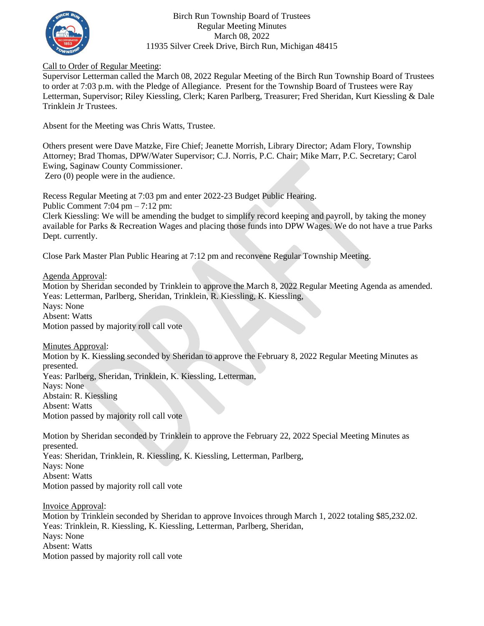

Birch Run Township Board of Trustees Regular Meeting Minutes March 08, 2022 11935 Silver Creek Drive, Birch Run, Michigan 48415

## Call to Order of Regular Meeting:

Supervisor Letterman called the March 08, 2022 Regular Meeting of the Birch Run Township Board of Trustees to order at 7:03 p.m. with the Pledge of Allegiance. Present for the Township Board of Trustees were Ray Letterman, Supervisor; Riley Kiessling, Clerk; Karen Parlberg, Treasurer; Fred Sheridan, Kurt Kiessling & Dale Trinklein Jr Trustees.

Absent for the Meeting was Chris Watts, Trustee.

Others present were Dave Matzke, Fire Chief; Jeanette Morrish, Library Director; Adam Flory, Township Attorney; Brad Thomas, DPW/Water Supervisor; C.J. Norris, P.C. Chair; Mike Marr, P.C. Secretary; Carol Ewing, Saginaw County Commissioner. Zero (0) people were in the audience.

Recess Regular Meeting at 7:03 pm and enter 2022-23 Budget Public Hearing.

Public Comment 7:04 pm – 7:12 pm:

Clerk Kiessling: We will be amending the budget to simplify record keeping and payroll, by taking the money available for Parks & Recreation Wages and placing those funds into DPW Wages. We do not have a true Parks Dept. currently.

Close Park Master Plan Public Hearing at 7:12 pm and reconvene Regular Township Meeting.

Agenda Approval:

Motion by Sheridan seconded by Trinklein to approve the March 8, 2022 Regular Meeting Agenda as amended. Yeas: Letterman, Parlberg, Sheridan, Trinklein, R. Kiessling, K. Kiessling, Nays: None Absent: Watts Motion passed by majority roll call vote

Minutes Approval:

Motion by K. Kiessling seconded by Sheridan to approve the February 8, 2022 Regular Meeting Minutes as presented. Yeas: Parlberg, Sheridan, Trinklein, K. Kiessling, Letterman, Nays: None

Abstain: R. Kiessling Absent: Watts

Motion passed by majority roll call vote

Motion by Sheridan seconded by Trinklein to approve the February 22, 2022 Special Meeting Minutes as presented. Yeas: Sheridan, Trinklein, R. Kiessling, K. Kiessling, Letterman, Parlberg, Nays: None Absent: Watts Motion passed by majority roll call vote

Invoice Approval: Motion by Trinklein seconded by Sheridan to approve Invoices through March 1, 2022 totaling \$85,232.02. Yeas: Trinklein, R. Kiessling, K. Kiessling, Letterman, Parlberg, Sheridan, Nays: None Absent: Watts Motion passed by majority roll call vote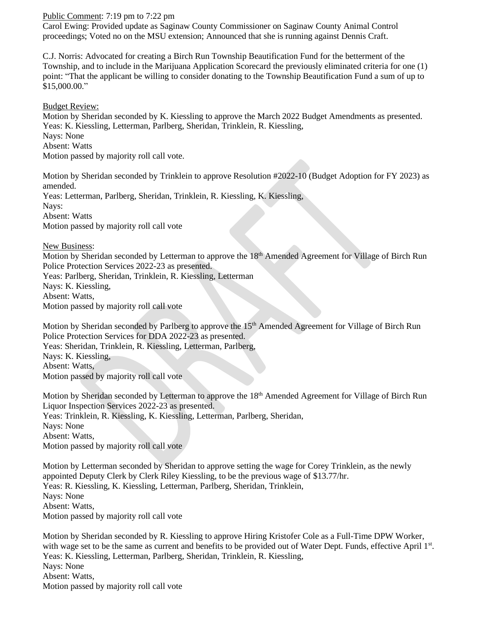## Public Comment: 7:19 pm to 7:22 pm

Carol Ewing: Provided update as Saginaw County Commissioner on Saginaw County Animal Control proceedings; Voted no on the MSU extension; Announced that she is running against Dennis Craft.

C.J. Norris: Advocated for creating a Birch Run Township Beautification Fund for the betterment of the Township, and to include in the Marijuana Application Scorecard the previously eliminated criteria for one (1) point: "That the applicant be willing to consider donating to the Township Beautification Fund a sum of up to \$15,000.00."

Budget Review:

Motion by Sheridan seconded by K. Kiessling to approve the March 2022 Budget Amendments as presented. Yeas: K. Kiessling, Letterman, Parlberg, Sheridan, Trinklein, R. Kiessling, Nays: None Absent: Watts Motion passed by majority roll call vote.

Motion by Sheridan seconded by Trinklein to approve Resolution #2022-10 (Budget Adoption for FY 2023) as amended. Yeas: Letterman, Parlberg, Sheridan, Trinklein, R. Kiessling, K. Kiessling, Nays: Absent: Watts Motion passed by majority roll call vote

New Business:

Motion by Sheridan seconded by Letterman to approve the 18<sup>th</sup> Amended Agreement for Village of Birch Run Police Protection Services 2022-23 as presented. Yeas: Parlberg, Sheridan, Trinklein, R. Kiessling, Letterman Nays: K. Kiessling, Absent: Watts, Motion passed by majority roll call vote

Motion by Sheridan seconded by Parlberg to approve the 15<sup>th</sup> Amended Agreement for Village of Birch Run Police Protection Services for DDA 2022-23 as presented.

Yeas: Sheridan, Trinklein, R. Kiessling, Letterman, Parlberg,

Nays: K. Kiessling, Absent: Watts,

Motion passed by majority roll call vote

Motion by Sheridan seconded by Letterman to approve the 18<sup>th</sup> Amended Agreement for Village of Birch Run Liquor Inspection Services 2022-23 as presented. Yeas: Trinklein, R. Kiessling, K. Kiessling, Letterman, Parlberg, Sheridan, Nays: None Absent: Watts, Motion passed by majority roll call vote

Motion by Letterman seconded by Sheridan to approve setting the wage for Corey Trinklein, as the newly appointed Deputy Clerk by Clerk Riley Kiessling, to be the previous wage of \$13.77/hr. Yeas: R. Kiessling, K. Kiessling, Letterman, Parlberg, Sheridan, Trinklein, Nays: None Absent: Watts, Motion passed by majority roll call vote

Motion by Sheridan seconded by R. Kiessling to approve Hiring Kristofer Cole as a Full-Time DPW Worker, with wage set to be the same as current and benefits to be provided out of Water Dept. Funds, effective April 1st. Yeas: K. Kiessling, Letterman, Parlberg, Sheridan, Trinklein, R. Kiessling, Nays: None Absent: Watts, Motion passed by majority roll call vote